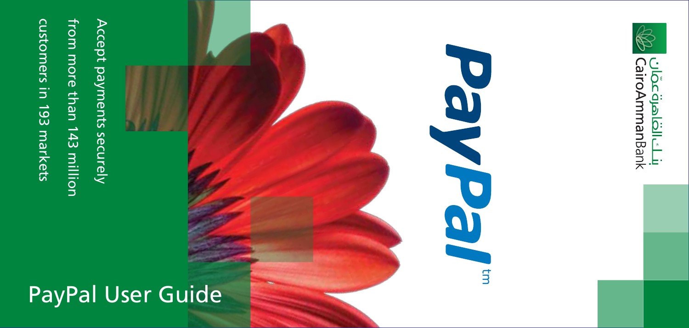customers in 193 markets customers in 193 markets

from more than 143 million from more than 143 million

Accept payments securely Accept payments securely

## PayPal User Guide



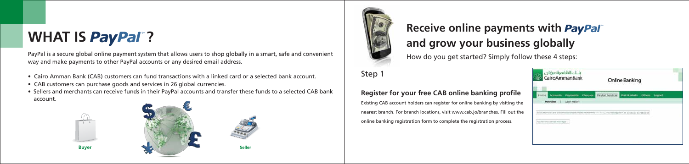# **WHAT IS PayPal"?**

PayPal is a secure global online payment system that allows users to shop globally in a smart, safe and convenient way and make payments to other PayPal accounts or any desired email address.

# **Receive online payments with** *PayPal* **and grow your business globally**

- Cairo Amman Bank (CAB) customers can fund transactions with a linked card or a selected bank account.
- CAB customers can purchase goods and services in 26 global currencies.
- Sellers and merchants can receive funds in their PayPal accounts and transfer these funds to a selected CAB bank account.





How do you get started? Simply follow these 4 steps:

Step 1

#### **Register for your free CAB online banking profile**

Existing CAB account holders can register for online banking by visiting the nearest branch. For branch locations, visit www.cab.jo/branches. Fill out the online banking registration form to complete the registration process.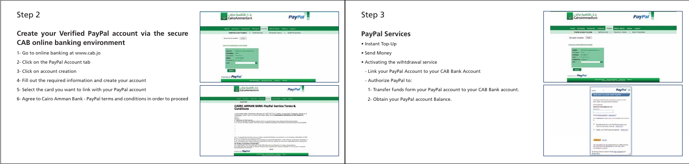#### Step 2

### **Create your Verified PayPal account via the secure CAB online banking environment**

- 1- Go to online banking at www.cab.jo
- 2- Click on the PayPal Account tab
- 3- Click on account creation
- 4- Fill out the required information and create your account
- 5- Select the card you want to link with your PayPal account
- 6- Agree to Cairo Amman Bank PayPal terms and conditions in order to proceed

|                                                                                | بالخافاهرةعضات<br>CairoAmmanBank                                                                                                                                                                                                                                                                                                                                                      |                                                                                                                                                                                                                                      | <b>PayPal</b>       |  |
|--------------------------------------------------------------------------------|---------------------------------------------------------------------------------------------------------------------------------------------------------------------------------------------------------------------------------------------------------------------------------------------------------------------------------------------------------------------------------------|--------------------------------------------------------------------------------------------------------------------------------------------------------------------------------------------------------------------------------------|---------------------|--|
|                                                                                | then Assess Newton Chipse and Marketing Direct Layer                                                                                                                                                                                                                                                                                                                                  |                                                                                                                                                                                                                                      |                     |  |
|                                                                                | Fulfil formed Dealer   Note former   Transmission   Road Toronton                                                                                                                                                                                                                                                                                                                     |                                                                                                                                                                                                                                      |                     |  |
|                                                                                | Account Enration [ SRC]                                                                                                                                                                                                                                                                                                                                                               |                                                                                                                                                                                                                                      |                     |  |
|                                                                                | TOOL OR GUNST WITH CORPORATION                                                                                                                                                                                                                                                                                                                                                        |                                                                                                                                                                                                                                      |                     |  |
| <b>START RD</b><br><b><i><u>SEARCH COOL</u></i></b><br><b>Ad Marie</b><br>www. | __<br>--<br><b>Service</b><br><b><i><u>DERNEY CONSTITUTION CONSTITUTION CONSTITUTION CONSTITUTION CONSTITUTION CONSTITUTION CONSTITUTION CONSTITUTION CONSTITUTION CONSTITUTION CONSTITUTION CONSTITUTION CONSTITUTION CONSTITUTION CONSTITUTION CONSTITUTION CONS</u></i></b><br>×                                                                                                   |                                                                                                                                                                                                                                      |                     |  |
| tex.<br>Homes at PayPal                                                        |                                                                                                                                                                                                                                                                                                                                                                                       | <b>The Company's Company's Company's Company's Company's Company's Company's Company's Company's Company's Company's Company's Company's Company's Company's Company's Company's Company's Company's Company's Company's Company</b> |                     |  |
|                                                                                | Aberline High Lin<br>CairoAmmanllani                                                                                                                                                                                                                                                                                                                                                  |                                                                                                                                                                                                                                      | PayPal <sup>-</sup> |  |
|                                                                                |                                                                                                                                                                                                                                                                                                                                                                                       |                                                                                                                                                                                                                                      |                     |  |
|                                                                                | the new week look of the state for the                                                                                                                                                                                                                                                                                                                                                |                                                                                                                                                                                                                                      |                     |  |
|                                                                                | <b>Institute</b><br><b>CAIRO AMMAN BANK-PayPal Service Terms &amp;</b>                                                                                                                                                                                                                                                                                                                |                                                                                                                                                                                                                                      |                     |  |
|                                                                                | Conditions<br>982                                                                                                                                                                                                                                                                                                                                                                     |                                                                                                                                                                                                                                      |                     |  |
|                                                                                | Colorador and character secrets at "Lat" at "Lyt" copie, to receive themselv several at at-                                                                                                                                                                                                                                                                                           |                                                                                                                                                                                                                                      |                     |  |
|                                                                                | <b>Ministers of the tenants.</b><br>- Notwith Entertain the Plates lastered profit une control through Estat Monda Good within Booking.<br>this way this terminal handles from the off-size condition becomes that a determine security because the stage framed<br>٠                                                                                                                 |                                                                                                                                                                                                                                      |                     |  |
|                                                                                | ٠                                                                                                                                                                                                                                                                                                                                                                                     |                                                                                                                                                                                                                                      |                     |  |
|                                                                                | ٠<br>٠                                                                                                                                                                                                                                                                                                                                                                                |                                                                                                                                                                                                                                      |                     |  |
|                                                                                | (E.). To possible the benefit to pay per that he constructed shadow your permetal or cost business officeration to third-<br>gange dasang ka sa hingga singga.<br>Unul hou sanahi di pakuahuan as is daripat unu penurai diternakan si tela pakius secarat at sa bulanas. Isi<br>and minimum and that comes and connects as they are mades also has now searchize and in animal time. |                                                                                                                                                                                                                                      |                     |  |
|                                                                                | 14 Service Francocker connect body.<br>to a destribuyer free and contracts. Sales with goth submanisment of current of the medium.<br>A 1-140 yield has the right to copie framed lasts regarding the last sale. Structure to the sector or provide                                                                                                                                   |                                                                                                                                                                                                                                      |                     |  |

### Step 3

#### **PayPal Services**

- Instant Top-Up
- Send Money
- Activating the wihtdrawal service
- Link your PayPal Account to your CAB Bank Account
- Authorize PayPal to:
- 1- Transfer funds form your PayPal account to your CAB Bank account.
- 2- Obtain your PayPal account Balance.

| hi التعامرة عضان<br>CaroAmmanBank                                                                                                                                                                                                                                                                                                                                                                                                                                                                                  | <b>PayPal</b>                             |
|--------------------------------------------------------------------------------------------------------------------------------------------------------------------------------------------------------------------------------------------------------------------------------------------------------------------------------------------------------------------------------------------------------------------------------------------------------------------------------------------------------------------|-------------------------------------------|
| now direct report County and there that they                                                                                                                                                                                                                                                                                                                                                                                                                                                                       |                                           |
| <b><i>Drighted document thisnalling</i></b><br><b>Hart &amp; California</b>                                                                                                                                                                                                                                                                                                                                                                                                                                        | Transition Autor: 1.5 . Serie Transitioni |
| <b>Buses Dadie [702]</b>                                                                                                                                                                                                                                                                                                                                                                                                                                                                                           |                                           |
|                                                                                                                                                                                                                                                                                                                                                                                                                                                                                                                    |                                           |
| two paint on filters' with the second concerts                                                                                                                                                                                                                                                                                                                                                                                                                                                                     |                                           |
| --                                                                                                                                                                                                                                                                                                                                                                                                                                                                                                                 |                                           |
| $-$<br><b><i><u>STARTING</u></i></b><br>$\frac{1}{2} \left( \frac{1}{2} \right) \left( \frac{1}{2} \right) \left( \frac{1}{2} \right) \left( \frac{1}{2} \right) \left( \frac{1}{2} \right) \left( \frac{1}{2} \right) \left( \frac{1}{2} \right) \left( \frac{1}{2} \right) \left( \frac{1}{2} \right) \left( \frac{1}{2} \right) \left( \frac{1}{2} \right) \left( \frac{1}{2} \right) \left( \frac{1}{2} \right) \left( \frac{1}{2} \right) \left( \frac{1}{2} \right) \left( \frac{1}{2} \right) \left( \frac$ |                                           |
| ---                                                                                                                                                                                                                                                                                                                                                                                                                                                                                                                |                                           |
| <b>COMMERCIAL CONSULTANCE</b>                                                                                                                                                                                                                                                                                                                                                                                                                                                                                      |                                           |
|                                                                                                                                                                                                                                                                                                                                                                                                                                                                                                                    |                                           |
| 10 <sup>4</sup>                                                                                                                                                                                                                                                                                                                                                                                                                                                                                                    |                                           |
|                                                                                                                                                                                                                                                                                                                                                                                                                                                                                                                    |                                           |
| minim PayPat                                                                                                                                                                                                                                                                                                                                                                                                                                                                                                       |                                           |

| PayPal <sup>-</sup><br>tom and                                                                                                                                                                              |
|-------------------------------------------------------------------------------------------------------------------------------------------------------------------------------------------------------------|
| 194 post as most with Hypha                                                                                                                                                                                 |
| Following FiteFor 12 can conscious to Canar womens                                                                                                                                                          |
| <b>Brital-Athletic</b><br>ARRAIGHT ANNO BEATAN COM                                                                                                                                                          |
| the computation of the first                                                                                                                                                                                |
| TOYOTALASSEE * 9304 MAI **<br>$1.71 - 1.72$<br>Stor-Automotive partitions recognition contractor<br>$\sim$                                                                                                  |
| of Supplement for contracts around book<br>tigeneral bas asset strated (1)<br>×.                                                                                                                            |
| 47 Dates one Participation follows (their disc)<br>the all the state forms of the Pileting                                                                                                                  |
| <b>Consultation</b>                                                                                                                                                                                         |
| <b>British</b> Court<br>THE REPORT OF A REPORT OF A 200                                                                                                                                                     |
| THE right priders jurisd devoted to define to drifted to public<br>into your Pay Pat application for outside a bank<br>mentangan banyak di Salah Sulawan                                                    |
| A dealer stay of grant contract and and confident systems of the state conditions<br>By starting humanity receive in the Nederland paperwork of<br>Marshall Miller, Chrysler Corp., Chrysler Corp.<br>$-24$ |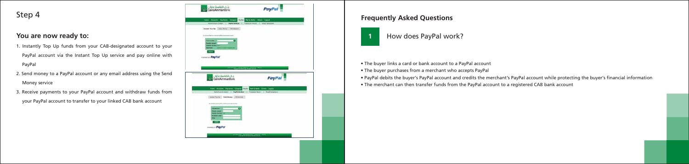• The buyer links a card or bank account to a PayPal account • The buyer purchases from a merchant who accepts PayPal • PayPal debits the buyer's PayPal account and credits the merchant's PayPal account while protecting the buyer's financial information • The merchant can then transfer funds from the PayPal account to a registered CAB bank account





#### **Frequently Asked Questions**

#### Step 4

#### **You are now ready to:**

- 1. Instantly Top Up funds from your CAB-designated account to your
- PayPal account via the Instant Top Up service and pay online with PayPal
- 2. Send money to a PayPal account or any email address using the Send Money service
- 3. Receive payments to your PayPal account and withdraw funds from

your PayPal account to transfer to your linked CAB bank account

| clócijalidcLip                                                                                                            | <b>PayPal</b> |  |
|---------------------------------------------------------------------------------------------------------------------------|---------------|--|
| term Acausti, Samuel Chinese Print, Walkfield, State Land.<br>Territorizane il <b>naviazza</b> il fascolazza il scalanone |               |  |
| <b>Dond For the Cont Ryer:   Williams </b>                                                                                |               |  |
| 39-1408-2-27 contemporary for an artist and                                                                               |               |  |
| common PayPal                                                                                                             |               |  |
|                                                                                                                           |               |  |
|                                                                                                                           |               |  |
| شلت الطاهرة عظان<br>CairoAmmanBank<br>$79.11 - 19.76$                                                                     | PayPal        |  |
| the fourth factors throw with station that have                                                                           |               |  |
| Nistransiem,   Neblindae,   Towartest,   Nationway<br>(Solethelm) bedweek [ different ]                                   |               |  |
| 512 P.O.O.O.O. (F) 0377 010 03 03 03 04                                                                                   |               |  |
|                                                                                                                           |               |  |
| --------- PayPol                                                                                                          |               |  |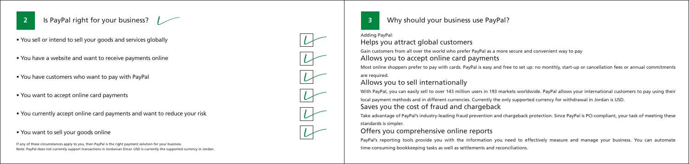

**2** Is PayPal right for your business?

#### **3** Why should your business use PayPal?

#### Adding PayPal: Helps you attract global customers

Gain customers from all over the world who prefer PayPal as a more secure and convenient way to pay Allows you to accept online card payments

Most online shoppers prefer to pay with cards. PayPal is easy and free to set up: no monthly, start-up or cancellation fees or annual commitments are required.

With PayPal, you can easily sell to over 143 million users in 193 markets worldwide. PayPal allows your international customers to pay using their local payment methods and in different currencies. Currently the only supported currency for withdrawal in Jordan is USD.

Allows you to sell internationally

PayPal's reporting tools provide you with the information you need to effectively measure and manage your business. You can automate time-consuming bookkeeping tasks as well as settlements and reconciliations.

Saves you the cost of fraud and chargeback

Take advantage of PayPal's industry-leading fraud prevention and chargeback protection. Since PayPal is PCI-compliant, your task of meeting these standards is simpler.

#### Offers you comprehensive online reports

If any of these circumstances apply to you, then PayPal is the right payment solution for your business. Note: PayPal does not currently support transactions in Jordanian Dinar. USD is currently the supported currency in Jordan.



- You sell or intend to sell your goods and services globally
- You have a website and want to receive payments online
- You have customers who want to pay with PayPal
- You want to accept online card payments
- You currently accept online card payments and want to reduce your risk
- You want to sell your goods online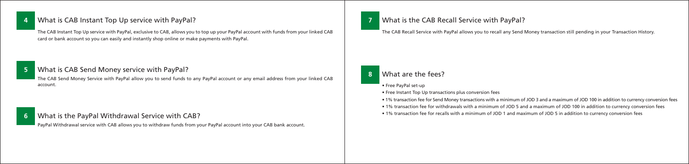#### **4** What is CAB Instant Top Up service with PayPal?

The CAB Instant Top Up service with PayPal, exclusive to CAB, allows you to top up your PayPal account with funds from your linked CAB card or bank account so you can easily and instantly shop online or make payments with PayPal.

The CAB Recall Service with PayPal allows you to recall any Send Money transaction still pending in your Transaction History.

#### **8** What are the fees?

• 1% transaction fee for Send Money transactions with a minimum of JOD 3 and a maximum of JOD 100 in addition to currency conversion fees • 1% transaction fee for withdrawals with a minimum of JOD 5 and a maximum of JOD 100 in addition to currency conversion fees

- Free PayPal set-up
- Free Instant Top Up transactions plus conversion fees
- 
- 
- 1% transaction fee for recalls with a minimum of JOD 1 and maximum of JOD 5 in addition to currency conversion fees

#### **5** What is CAB Send Money service with PayPal?

The CAB Send Money Service with PayPal allow you to send funds to any PayPal account or any email address from your linked CAB account.

#### **6** What is the PayPal Withdrawal Service with CAB?

PayPal Withdrawal service with CAB allows you to withdraw funds from your PayPal account into your CAB bank account.

#### **7** What is the CAB Recall Service with PayPal?